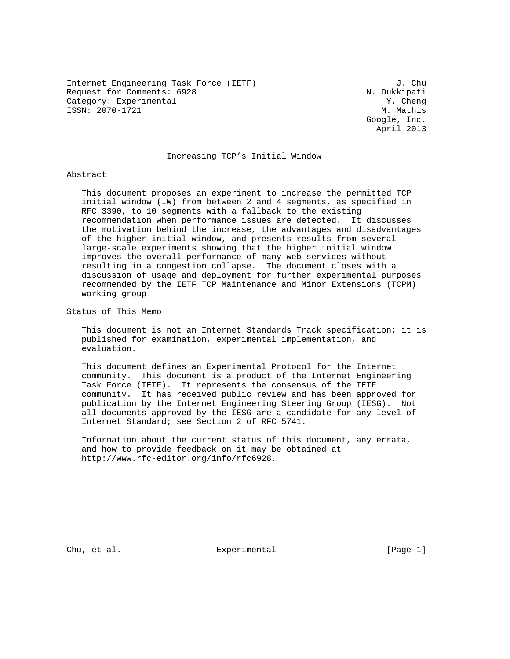Internet Engineering Task Force (IETF) 3. Chu Request for Comments: 6928 N. Dukkipati<br>Category: Experimental M. Cheng Category: Experimental ISSN: 2070-1721 M. Mathis

 Google, Inc. April 2013

## Increasing TCP's Initial Window

#### Abstract

 This document proposes an experiment to increase the permitted TCP initial window (IW) from between 2 and 4 segments, as specified in RFC 3390, to 10 segments with a fallback to the existing recommendation when performance issues are detected. It discusses the motivation behind the increase, the advantages and disadvantages of the higher initial window, and presents results from several large-scale experiments showing that the higher initial window improves the overall performance of many web services without resulting in a congestion collapse. The document closes with a discussion of usage and deployment for further experimental purposes recommended by the IETF TCP Maintenance and Minor Extensions (TCPM) working group.

Status of This Memo

 This document is not an Internet Standards Track specification; it is published for examination, experimental implementation, and evaluation.

 This document defines an Experimental Protocol for the Internet community. This document is a product of the Internet Engineering Task Force (IETF). It represents the consensus of the IETF community. It has received public review and has been approved for publication by the Internet Engineering Steering Group (IESG). Not all documents approved by the IESG are a candidate for any level of Internet Standard; see Section 2 of RFC 5741.

 Information about the current status of this document, any errata, and how to provide feedback on it may be obtained at http://www.rfc-editor.org/info/rfc6928.

Chu, et al. Experimental [Page 1]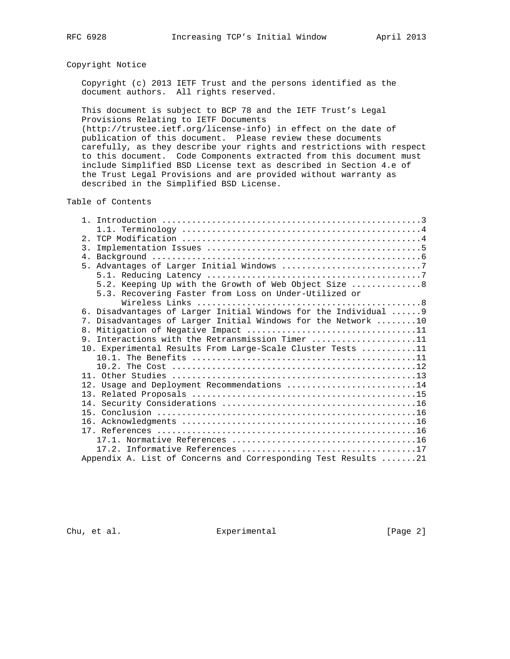# Copyright Notice

 Copyright (c) 2013 IETF Trust and the persons identified as the document authors. All rights reserved.

 This document is subject to BCP 78 and the IETF Trust's Legal Provisions Relating to IETF Documents (http://trustee.ietf.org/license-info) in effect on the date of publication of this document. Please review these documents

 carefully, as they describe your rights and restrictions with respect to this document. Code Components extracted from this document must include Simplified BSD License text as described in Section 4.e of the Trust Legal Provisions and are provided without warranty as described in the Simplified BSD License.

Table of Contents

| 3.                                                               |
|------------------------------------------------------------------|
|                                                                  |
|                                                                  |
|                                                                  |
| 5.2. Keeping Up with the Growth of Web Object Size  8            |
| 5.3. Recovering Faster from Loss on Under-Utilized or            |
|                                                                  |
|                                                                  |
| 6. Disadvantages of Larger Initial Windows for the Individual  9 |
| 7. Disadvantages of Larger Initial Windows for the Network 10    |
|                                                                  |
| 9. Interactions with the Retransmission Timer 11                 |
| 10. Experimental Results From Large-Scale Cluster Tests 11       |
|                                                                  |
|                                                                  |
|                                                                  |
| 12. Usage and Deployment Recommendations 14                      |
|                                                                  |
|                                                                  |
|                                                                  |
|                                                                  |
|                                                                  |
|                                                                  |
|                                                                  |
| Appendix A. List of Concerns and Corresponding Test Results 21   |

Chu, et al. Experimental [Page 2]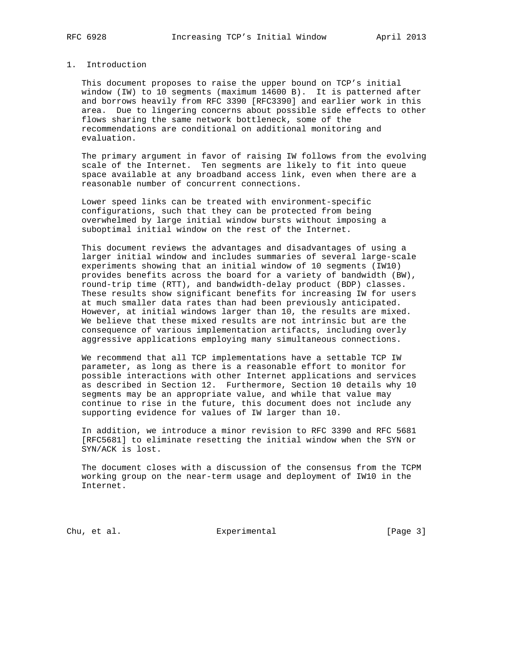# 1. Introduction

 This document proposes to raise the upper bound on TCP's initial window (IW) to 10 segments (maximum 14600 B). It is patterned after and borrows heavily from RFC 3390 [RFC3390] and earlier work in this area. Due to lingering concerns about possible side effects to other flows sharing the same network bottleneck, some of the recommendations are conditional on additional monitoring and evaluation.

 The primary argument in favor of raising IW follows from the evolving scale of the Internet. Ten segments are likely to fit into queue space available at any broadband access link, even when there are a reasonable number of concurrent connections.

 Lower speed links can be treated with environment-specific configurations, such that they can be protected from being overwhelmed by large initial window bursts without imposing a suboptimal initial window on the rest of the Internet.

 This document reviews the advantages and disadvantages of using a larger initial window and includes summaries of several large-scale experiments showing that an initial window of 10 segments (IW10) provides benefits across the board for a variety of bandwidth (BW), round-trip time (RTT), and bandwidth-delay product (BDP) classes. These results show significant benefits for increasing IW for users at much smaller data rates than had been previously anticipated. However, at initial windows larger than 10, the results are mixed. We believe that these mixed results are not intrinsic but are the consequence of various implementation artifacts, including overly aggressive applications employing many simultaneous connections.

 We recommend that all TCP implementations have a settable TCP IW parameter, as long as there is a reasonable effort to monitor for possible interactions with other Internet applications and services as described in Section 12. Furthermore, Section 10 details why 10 segments may be an appropriate value, and while that value may continue to rise in the future, this document does not include any supporting evidence for values of IW larger than 10.

 In addition, we introduce a minor revision to RFC 3390 and RFC 5681 [RFC5681] to eliminate resetting the initial window when the SYN or SYN/ACK is lost.

 The document closes with a discussion of the consensus from the TCPM working group on the near-term usage and deployment of IW10 in the Internet.

Chu, et al. Subsection Experimental Chu, et al. [Page 3]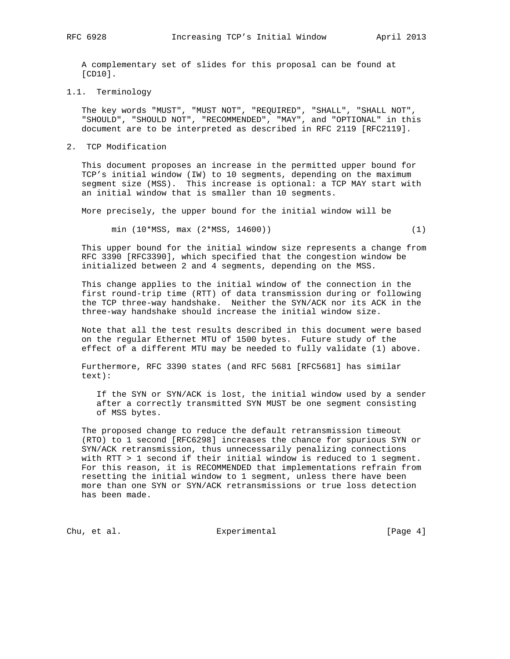A complementary set of slides for this proposal can be found at [CD10].

1.1. Terminology

 The key words "MUST", "MUST NOT", "REQUIRED", "SHALL", "SHALL NOT", "SHOULD", "SHOULD NOT", "RECOMMENDED", "MAY", and "OPTIONAL" in this document are to be interpreted as described in RFC 2119 [RFC2119].

2. TCP Modification

 This document proposes an increase in the permitted upper bound for TCP's initial window (IW) to 10 segments, depending on the maximum segment size (MSS). This increase is optional: a TCP MAY start with an initial window that is smaller than 10 segments.

More precisely, the upper bound for the initial window will be

min (10\*MSS, max (2\*MSS, 14600)) (1)

 This upper bound for the initial window size represents a change from RFC 3390 [RFC3390], which specified that the congestion window be initialized between 2 and 4 segments, depending on the MSS.

 This change applies to the initial window of the connection in the first round-trip time (RTT) of data transmission during or following the TCP three-way handshake. Neither the SYN/ACK nor its ACK in the three-way handshake should increase the initial window size.

 Note that all the test results described in this document were based on the regular Ethernet MTU of 1500 bytes. Future study of the effect of a different MTU may be needed to fully validate (1) above.

 Furthermore, RFC 3390 states (and RFC 5681 [RFC5681] has similar text):

 If the SYN or SYN/ACK is lost, the initial window used by a sender after a correctly transmitted SYN MUST be one segment consisting of MSS bytes.

 The proposed change to reduce the default retransmission timeout (RTO) to 1 second [RFC6298] increases the chance for spurious SYN or SYN/ACK retransmission, thus unnecessarily penalizing connections with RTT > 1 second if their initial window is reduced to 1 segment. For this reason, it is RECOMMENDED that implementations refrain from resetting the initial window to 1 segment, unless there have been more than one SYN or SYN/ACK retransmissions or true loss detection has been made.

Chu, et al. Superimental Experimental [Page 4]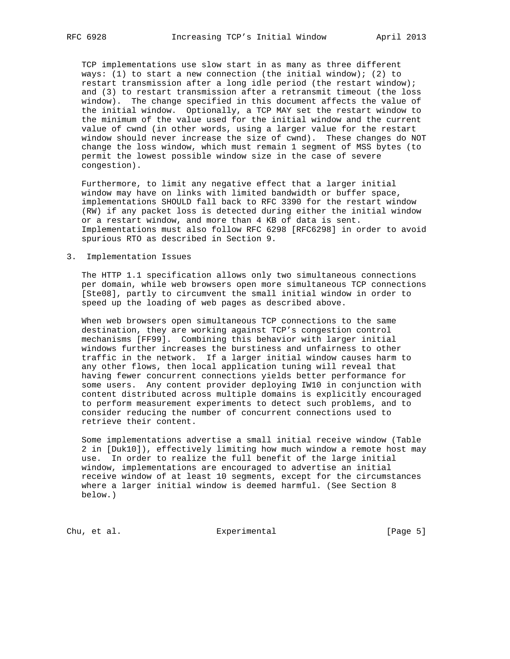TCP implementations use slow start in as many as three different ways: (1) to start a new connection (the initial window); (2) to restart transmission after a long idle period (the restart window); and (3) to restart transmission after a retransmit timeout (the loss window). The change specified in this document affects the value of the initial window. Optionally, a TCP MAY set the restart window to the minimum of the value used for the initial window and the current value of cwnd (in other words, using a larger value for the restart window should never increase the size of cwnd). These changes do NOT change the loss window, which must remain 1 segment of MSS bytes (to permit the lowest possible window size in the case of severe congestion).

 Furthermore, to limit any negative effect that a larger initial window may have on links with limited bandwidth or buffer space, implementations SHOULD fall back to RFC 3390 for the restart window (RW) if any packet loss is detected during either the initial window or a restart window, and more than 4 KB of data is sent. Implementations must also follow RFC 6298 [RFC6298] in order to avoid spurious RTO as described in Section 9.

3. Implementation Issues

 The HTTP 1.1 specification allows only two simultaneous connections per domain, while web browsers open more simultaneous TCP connections [Ste08], partly to circumvent the small initial window in order to speed up the loading of web pages as described above.

 When web browsers open simultaneous TCP connections to the same destination, they are working against TCP's congestion control mechanisms [FF99]. Combining this behavior with larger initial windows further increases the burstiness and unfairness to other traffic in the network. If a larger initial window causes harm to any other flows, then local application tuning will reveal that having fewer concurrent connections yields better performance for some users. Any content provider deploying IW10 in conjunction with content distributed across multiple domains is explicitly encouraged to perform measurement experiments to detect such problems, and to consider reducing the number of concurrent connections used to retrieve their content.

 Some implementations advertise a small initial receive window (Table 2 in [Duk10]), effectively limiting how much window a remote host may use. In order to realize the full benefit of the large initial window, implementations are encouraged to advertise an initial receive window of at least 10 segments, except for the circumstances where a larger initial window is deemed harmful. (See Section 8 below.)

Chu, et al. Superimental Experimental [Page 5]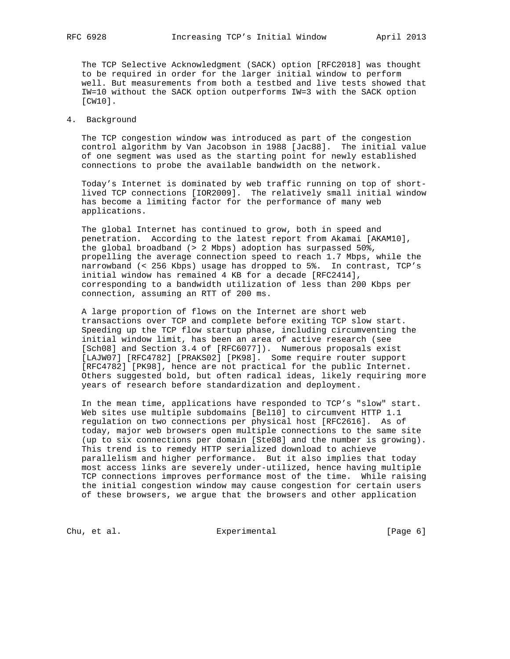The TCP Selective Acknowledgment (SACK) option [RFC2018] was thought to be required in order for the larger initial window to perform well. But measurements from both a testbed and live tests showed that IW=10 without the SACK option outperforms IW=3 with the SACK option [CW10].

## 4. Background

 The TCP congestion window was introduced as part of the congestion control algorithm by Van Jacobson in 1988 [Jac88]. The initial value of one segment was used as the starting point for newly established connections to probe the available bandwidth on the network.

 Today's Internet is dominated by web traffic running on top of short lived TCP connections [IOR2009]. The relatively small initial window has become a limiting factor for the performance of many web applications.

 The global Internet has continued to grow, both in speed and penetration. According to the latest report from Akamai [AKAM10], the global broadband (> 2 Mbps) adoption has surpassed 50%, propelling the average connection speed to reach 1.7 Mbps, while the narrowband (< 256 Kbps) usage has dropped to 5%. In contrast, TCP's initial window has remained 4 KB for a decade [RFC2414], corresponding to a bandwidth utilization of less than 200 Kbps per connection, assuming an RTT of 200 ms.

 A large proportion of flows on the Internet are short web transactions over TCP and complete before exiting TCP slow start. Speeding up the TCP flow startup phase, including circumventing the initial window limit, has been an area of active research (see [Sch08] and Section 3.4 of [RFC6077]). Numerous proposals exist [LAJW07] [RFC4782] [PRAKS02] [PK98]. Some require router support [RFC4782] [PK98], hence are not practical for the public Internet. Others suggested bold, but often radical ideas, likely requiring more years of research before standardization and deployment.

 In the mean time, applications have responded to TCP's "slow" start. Web sites use multiple subdomains [Bel10] to circumvent HTTP 1.1 regulation on two connections per physical host [RFC2616]. As of today, major web browsers open multiple connections to the same site (up to six connections per domain [Ste08] and the number is growing). This trend is to remedy HTTP serialized download to achieve parallelism and higher performance. But it also implies that today most access links are severely under-utilized, hence having multiple TCP connections improves performance most of the time. While raising the initial congestion window may cause congestion for certain users of these browsers, we argue that the browsers and other application

Chu, et al. Subsection Experimental Chu, et al. [Page 6]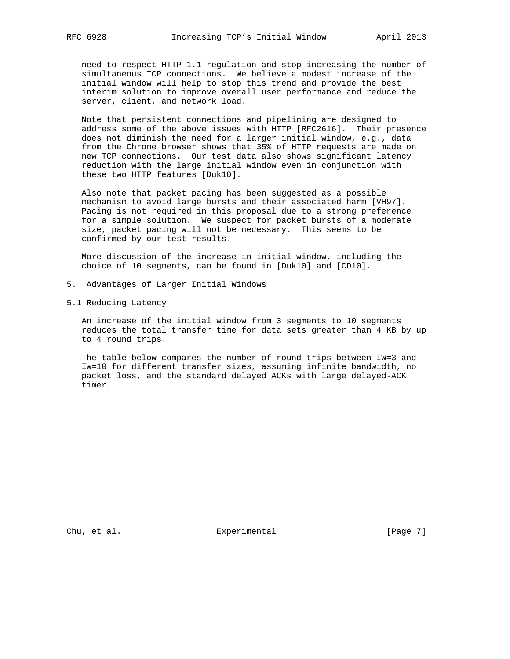need to respect HTTP 1.1 regulation and stop increasing the number of simultaneous TCP connections. We believe a modest increase of the initial window will help to stop this trend and provide the best interim solution to improve overall user performance and reduce the server, client, and network load.

 Note that persistent connections and pipelining are designed to address some of the above issues with HTTP [RFC2616]. Their presence does not diminish the need for a larger initial window, e.g., data from the Chrome browser shows that 35% of HTTP requests are made on new TCP connections. Our test data also shows significant latency reduction with the large initial window even in conjunction with these two HTTP features [Duk10].

 Also note that packet pacing has been suggested as a possible mechanism to avoid large bursts and their associated harm [VH97]. Pacing is not required in this proposal due to a strong preference for a simple solution. We suspect for packet bursts of a moderate size, packet pacing will not be necessary. This seems to be confirmed by our test results.

 More discussion of the increase in initial window, including the choice of 10 segments, can be found in [Duk10] and [CD10].

- 5. Advantages of Larger Initial Windows
- 5.1 Reducing Latency

 An increase of the initial window from 3 segments to 10 segments reduces the total transfer time for data sets greater than 4 KB by up to 4 round trips.

 The table below compares the number of round trips between IW=3 and IW=10 for different transfer sizes, assuming infinite bandwidth, no packet loss, and the standard delayed ACKs with large delayed-ACK timer.

Chu, et al. Experimental [Page 7]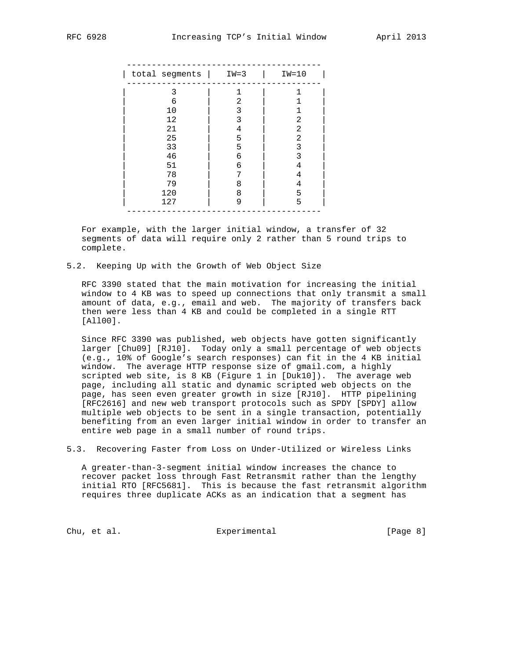| total segments $ $ IW=3 |   | $IW=10$ |
|-------------------------|---|---------|
| 3                       | 1 | 1       |
| 6                       | 2 |         |
| 10                      | 3 |         |
| 12                      | 3 | 2       |
| 21                      | 4 | 2       |
| 25                      | 5 | 2       |
| 33                      | 5 | 3       |
| 46                      | 6 | 3       |
| 51                      | 6 | 4       |
| 78                      | 7 | 4       |
| 79                      | 8 | 4       |
| 120                     | 8 | 5       |
| 127                     | 9 | 5       |

 For example, with the larger initial window, a transfer of 32 segments of data will require only 2 rather than 5 round trips to complete.

5.2. Keeping Up with the Growth of Web Object Size

 RFC 3390 stated that the main motivation for increasing the initial window to 4 KB was to speed up connections that only transmit a small amount of data, e.g., email and web. The majority of transfers back then were less than 4 KB and could be completed in a single RTT [All00].

 Since RFC 3390 was published, web objects have gotten significantly larger [Chu09] [RJ10]. Today only a small percentage of web objects (e.g., 10% of Google's search responses) can fit in the 4 KB initial window. The average HTTP response size of gmail.com, a highly scripted web site, is 8 KB (Figure 1 in [Duk10]). The average web page, including all static and dynamic scripted web objects on the page, has seen even greater growth in size [RJ10]. HTTP pipelining [RFC2616] and new web transport protocols such as SPDY [SPDY] allow multiple web objects to be sent in a single transaction, potentially benefiting from an even larger initial window in order to transfer an entire web page in a small number of round trips.

5.3. Recovering Faster from Loss on Under-Utilized or Wireless Links

 A greater-than-3-segment initial window increases the chance to recover packet loss through Fast Retransmit rather than the lengthy initial RTO [RFC5681]. This is because the fast retransmit algorithm requires three duplicate ACKs as an indication that a segment has

Chu, et al. Superimental Experimental [Page 8]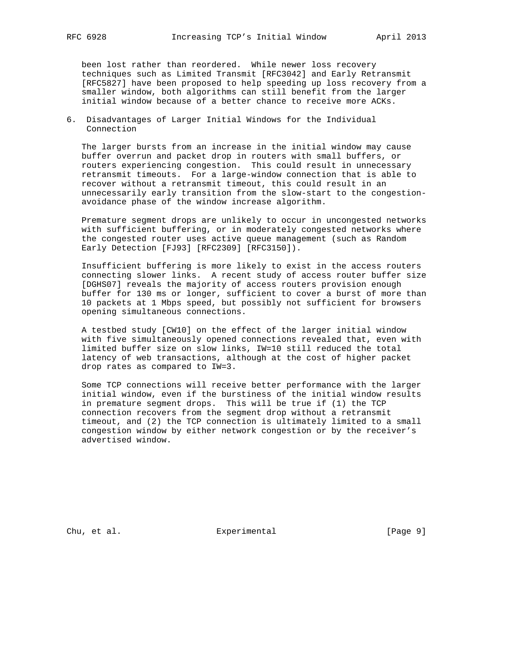been lost rather than reordered. While newer loss recovery techniques such as Limited Transmit [RFC3042] and Early Retransmit [RFC5827] have been proposed to help speeding up loss recovery from a smaller window, both algorithms can still benefit from the larger initial window because of a better chance to receive more ACKs.

6. Disadvantages of Larger Initial Windows for the Individual Connection

 The larger bursts from an increase in the initial window may cause buffer overrun and packet drop in routers with small buffers, or routers experiencing congestion. This could result in unnecessary retransmit timeouts. For a large-window connection that is able to recover without a retransmit timeout, this could result in an unnecessarily early transition from the slow-start to the congestion avoidance phase of the window increase algorithm.

 Premature segment drops are unlikely to occur in uncongested networks with sufficient buffering, or in moderately congested networks where the congested router uses active queue management (such as Random Early Detection [FJ93] [RFC2309] [RFC3150]).

 Insufficient buffering is more likely to exist in the access routers connecting slower links. A recent study of access router buffer size [DGHS07] reveals the majority of access routers provision enough buffer for 130 ms or longer, sufficient to cover a burst of more than 10 packets at 1 Mbps speed, but possibly not sufficient for browsers opening simultaneous connections.

 A testbed study [CW10] on the effect of the larger initial window with five simultaneously opened connections revealed that, even with limited buffer size on slow links, IW=10 still reduced the total latency of web transactions, although at the cost of higher packet drop rates as compared to IW=3.

 Some TCP connections will receive better performance with the larger initial window, even if the burstiness of the initial window results in premature segment drops. This will be true if (1) the TCP connection recovers from the segment drop without a retransmit timeout, and (2) the TCP connection is ultimately limited to a small congestion window by either network congestion or by the receiver's advertised window.

Chu, et al. Superimental Experimental [Page 9]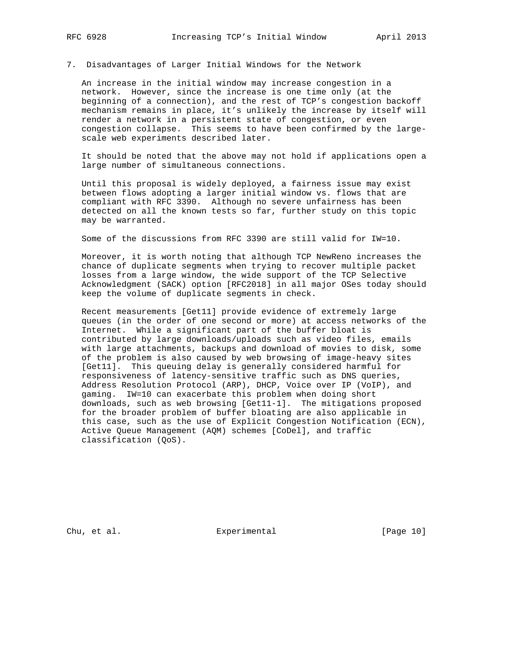# 7. Disadvantages of Larger Initial Windows for the Network

 An increase in the initial window may increase congestion in a network. However, since the increase is one time only (at the beginning of a connection), and the rest of TCP's congestion backoff mechanism remains in place, it's unlikely the increase by itself will render a network in a persistent state of congestion, or even congestion collapse. This seems to have been confirmed by the large scale web experiments described later.

 It should be noted that the above may not hold if applications open a large number of simultaneous connections.

 Until this proposal is widely deployed, a fairness issue may exist between flows adopting a larger initial window vs. flows that are compliant with RFC 3390. Although no severe unfairness has been detected on all the known tests so far, further study on this topic may be warranted.

Some of the discussions from RFC 3390 are still valid for IW=10.

 Moreover, it is worth noting that although TCP NewReno increases the chance of duplicate segments when trying to recover multiple packet losses from a large window, the wide support of the TCP Selective Acknowledgment (SACK) option [RFC2018] in all major OSes today should keep the volume of duplicate segments in check.

 Recent measurements [Get11] provide evidence of extremely large queues (in the order of one second or more) at access networks of the Internet. While a significant part of the buffer bloat is contributed by large downloads/uploads such as video files, emails with large attachments, backups and download of movies to disk, some of the problem is also caused by web browsing of image-heavy sites [Get11]. This queuing delay is generally considered harmful for responsiveness of latency-sensitive traffic such as DNS queries, Address Resolution Protocol (ARP), DHCP, Voice over IP (VoIP), and gaming. IW=10 can exacerbate this problem when doing short downloads, such as web browsing [Get11-1]. The mitigations proposed for the broader problem of buffer bloating are also applicable in this case, such as the use of Explicit Congestion Notification (ECN), Active Queue Management (AQM) schemes [CoDel], and traffic classification (QoS).

Chu, et al. Superimental Experimental [Page 10]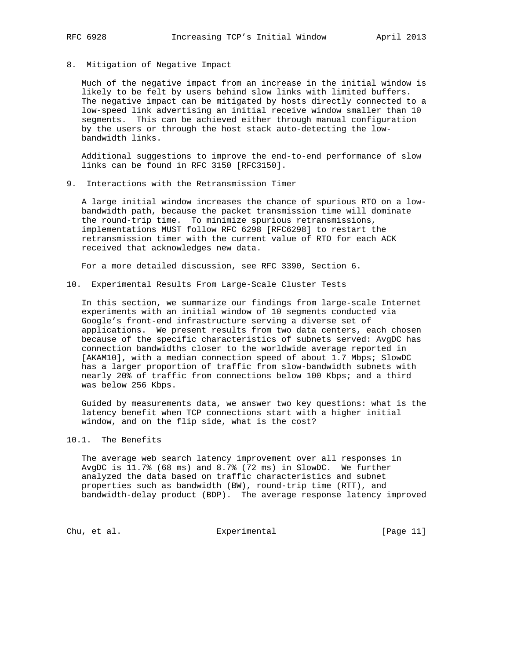8. Mitigation of Negative Impact

 Much of the negative impact from an increase in the initial window is likely to be felt by users behind slow links with limited buffers. The negative impact can be mitigated by hosts directly connected to a low-speed link advertising an initial receive window smaller than 10 segments. This can be achieved either through manual configuration by the users or through the host stack auto-detecting the low bandwidth links.

 Additional suggestions to improve the end-to-end performance of slow links can be found in RFC 3150 [RFC3150].

9. Interactions with the Retransmission Timer

 A large initial window increases the chance of spurious RTO on a low bandwidth path, because the packet transmission time will dominate the round-trip time. To minimize spurious retransmissions, implementations MUST follow RFC 6298 [RFC6298] to restart the retransmission timer with the current value of RTO for each ACK received that acknowledges new data.

For a more detailed discussion, see RFC 3390, Section 6.

10. Experimental Results From Large-Scale Cluster Tests

 In this section, we summarize our findings from large-scale Internet experiments with an initial window of 10 segments conducted via Google's front-end infrastructure serving a diverse set of applications. We present results from two data centers, each chosen because of the specific characteristics of subnets served: AvgDC has connection bandwidths closer to the worldwide average reported in [AKAM10], with a median connection speed of about 1.7 Mbps; SlowDC has a larger proportion of traffic from slow-bandwidth subnets with nearly 20% of traffic from connections below 100 Kbps; and a third was below 256 Kbps.

 Guided by measurements data, we answer two key questions: what is the latency benefit when TCP connections start with a higher initial window, and on the flip side, what is the cost?

# 10.1. The Benefits

 The average web search latency improvement over all responses in AvgDC is 11.7% (68 ms) and 8.7% (72 ms) in SlowDC. We further analyzed the data based on traffic characteristics and subnet properties such as bandwidth (BW), round-trip time (RTT), and bandwidth-delay product (BDP). The average response latency improved

Chu, et al. Experimental [Page 11]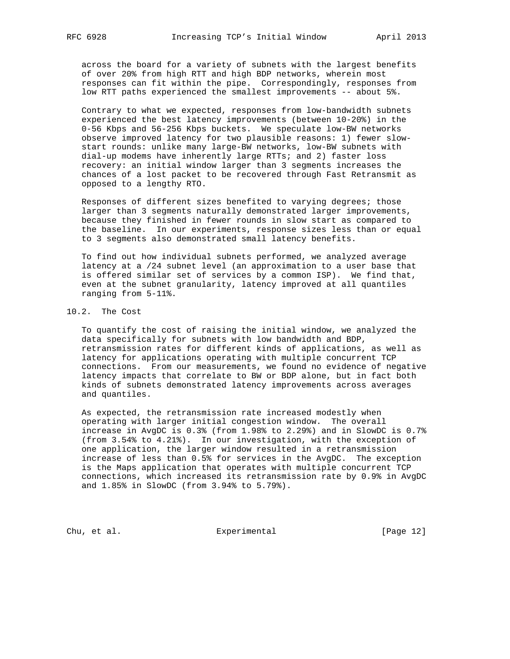across the board for a variety of subnets with the largest benefits of over 20% from high RTT and high BDP networks, wherein most responses can fit within the pipe. Correspondingly, responses from low RTT paths experienced the smallest improvements -- about 5%.

 Contrary to what we expected, responses from low-bandwidth subnets experienced the best latency improvements (between 10-20%) in the 0-56 Kbps and 56-256 Kbps buckets. We speculate low-BW networks observe improved latency for two plausible reasons: 1) fewer slow start rounds: unlike many large-BW networks, low-BW subnets with dial-up modems have inherently large RTTs; and 2) faster loss recovery: an initial window larger than 3 segments increases the chances of a lost packet to be recovered through Fast Retransmit as opposed to a lengthy RTO.

 Responses of different sizes benefited to varying degrees; those larger than 3 segments naturally demonstrated larger improvements, because they finished in fewer rounds in slow start as compared to the baseline. In our experiments, response sizes less than or equal to 3 segments also demonstrated small latency benefits.

 To find out how individual subnets performed, we analyzed average latency at a /24 subnet level (an approximation to a user base that is offered similar set of services by a common ISP). We find that, even at the subnet granularity, latency improved at all quantiles ranging from 5-11%.

#### 10.2. The Cost

 To quantify the cost of raising the initial window, we analyzed the data specifically for subnets with low bandwidth and BDP, retransmission rates for different kinds of applications, as well as latency for applications operating with multiple concurrent TCP connections. From our measurements, we found no evidence of negative latency impacts that correlate to BW or BDP alone, but in fact both kinds of subnets demonstrated latency improvements across averages and quantiles.

 As expected, the retransmission rate increased modestly when operating with larger initial congestion window. The overall increase in AvgDC is 0.3% (from 1.98% to 2.29%) and in SlowDC is 0.7% (from 3.54% to 4.21%). In our investigation, with the exception of one application, the larger window resulted in a retransmission increase of less than 0.5% for services in the AvgDC. The exception is the Maps application that operates with multiple concurrent TCP connections, which increased its retransmission rate by 0.9% in AvgDC and 1.85% in SlowDC (from 3.94% to 5.79%).

Chu, et al. Experimental [Page 12]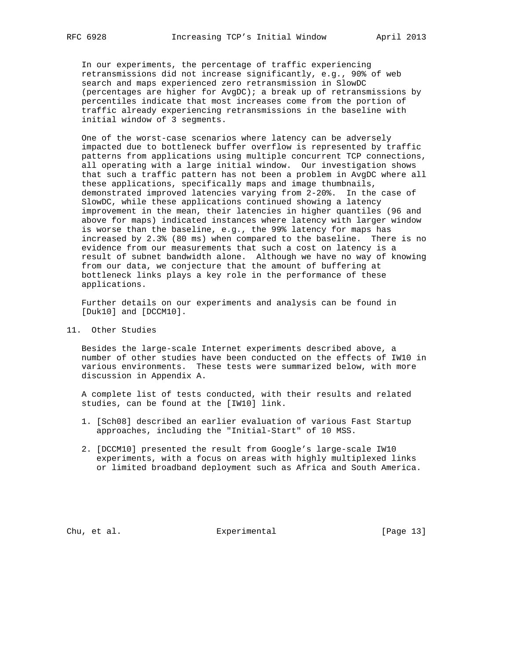In our experiments, the percentage of traffic experiencing retransmissions did not increase significantly, e.g., 90% of web search and maps experienced zero retransmission in SlowDC (percentages are higher for AvgDC); a break up of retransmissions by percentiles indicate that most increases come from the portion of traffic already experiencing retransmissions in the baseline with initial window of 3 segments.

 One of the worst-case scenarios where latency can be adversely impacted due to bottleneck buffer overflow is represented by traffic patterns from applications using multiple concurrent TCP connections, all operating with a large initial window. Our investigation shows that such a traffic pattern has not been a problem in AvgDC where all these applications, specifically maps and image thumbnails, demonstrated improved latencies varying from 2-20%. In the case of SlowDC, while these applications continued showing a latency improvement in the mean, their latencies in higher quantiles (96 and above for maps) indicated instances where latency with larger window is worse than the baseline, e.g., the 99% latency for maps has increased by 2.3% (80 ms) when compared to the baseline. There is no evidence from our measurements that such a cost on latency is a result of subnet bandwidth alone. Although we have no way of knowing from our data, we conjecture that the amount of buffering at bottleneck links plays a key role in the performance of these applications.

 Further details on our experiments and analysis can be found in [Duk10] and [DCCM10].

11. Other Studies

 Besides the large-scale Internet experiments described above, a number of other studies have been conducted on the effects of IW10 in various environments. These tests were summarized below, with more discussion in Appendix A.

 A complete list of tests conducted, with their results and related studies, can be found at the [IW10] link.

- 1. [Sch08] described an earlier evaluation of various Fast Startup approaches, including the "Initial-Start" of 10 MSS.
- 2. [DCCM10] presented the result from Google's large-scale IW10 experiments, with a focus on areas with highly multiplexed links or limited broadband deployment such as Africa and South America.

Chu, et al. Experimental [Page 13]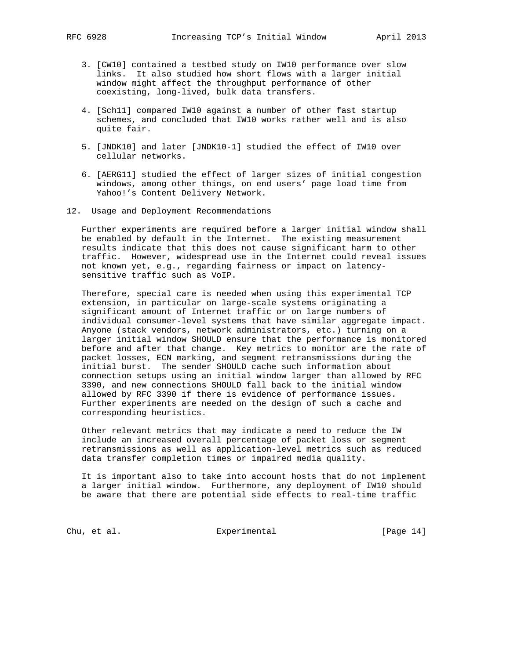- 3. [CW10] contained a testbed study on IW10 performance over slow links. It also studied how short flows with a larger initial window might affect the throughput performance of other coexisting, long-lived, bulk data transfers.
- 4. [Sch11] compared IW10 against a number of other fast startup schemes, and concluded that IW10 works rather well and is also quite fair.
- 5. [JNDK10] and later [JNDK10-1] studied the effect of IW10 over cellular networks.
- 6. [AERG11] studied the effect of larger sizes of initial congestion windows, among other things, on end users' page load time from Yahoo!'s Content Delivery Network.
- 12. Usage and Deployment Recommendations

 Further experiments are required before a larger initial window shall be enabled by default in the Internet. The existing measurement results indicate that this does not cause significant harm to other traffic. However, widespread use in the Internet could reveal issues not known yet, e.g., regarding fairness or impact on latency sensitive traffic such as VoIP.

 Therefore, special care is needed when using this experimental TCP extension, in particular on large-scale systems originating a significant amount of Internet traffic or on large numbers of individual consumer-level systems that have similar aggregate impact. Anyone (stack vendors, network administrators, etc.) turning on a larger initial window SHOULD ensure that the performance is monitored before and after that change. Key metrics to monitor are the rate of packet losses, ECN marking, and segment retransmissions during the initial burst. The sender SHOULD cache such information about connection setups using an initial window larger than allowed by RFC 3390, and new connections SHOULD fall back to the initial window allowed by RFC 3390 if there is evidence of performance issues. Further experiments are needed on the design of such a cache and corresponding heuristics.

 Other relevant metrics that may indicate a need to reduce the IW include an increased overall percentage of packet loss or segment retransmissions as well as application-level metrics such as reduced data transfer completion times or impaired media quality.

 It is important also to take into account hosts that do not implement a larger initial window. Furthermore, any deployment of IW10 should be aware that there are potential side effects to real-time traffic

Chu, et al. Experimental [Page 14]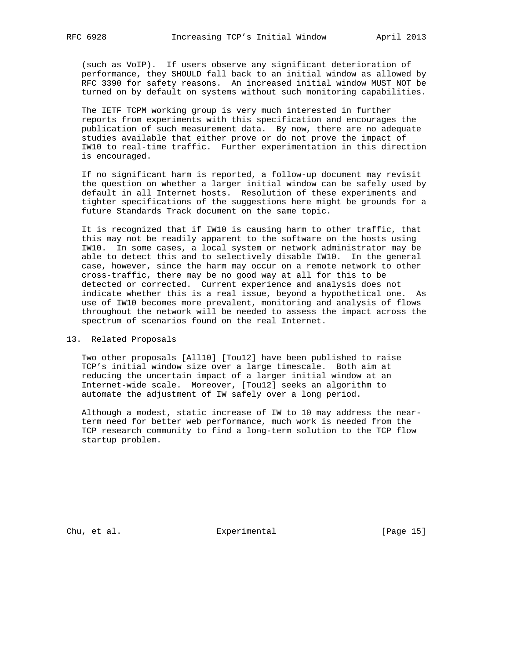(such as VoIP). If users observe any significant deterioration of performance, they SHOULD fall back to an initial window as allowed by RFC 3390 for safety reasons. An increased initial window MUST NOT be turned on by default on systems without such monitoring capabilities.

 The IETF TCPM working group is very much interested in further reports from experiments with this specification and encourages the publication of such measurement data. By now, there are no adequate studies available that either prove or do not prove the impact of IW10 to real-time traffic. Further experimentation in this direction is encouraged.

 If no significant harm is reported, a follow-up document may revisit the question on whether a larger initial window can be safely used by default in all Internet hosts. Resolution of these experiments and tighter specifications of the suggestions here might be grounds for a future Standards Track document on the same topic.

 It is recognized that if IW10 is causing harm to other traffic, that this may not be readily apparent to the software on the hosts using IW10. In some cases, a local system or network administrator may be able to detect this and to selectively disable IW10. In the general case, however, since the harm may occur on a remote network to other cross-traffic, there may be no good way at all for this to be detected or corrected. Current experience and analysis does not indicate whether this is a real issue, beyond a hypothetical one. As use of IW10 becomes more prevalent, monitoring and analysis of flows throughout the network will be needed to assess the impact across the spectrum of scenarios found on the real Internet.

## 13. Related Proposals

 Two other proposals [All10] [Tou12] have been published to raise TCP's initial window size over a large timescale. Both aim at reducing the uncertain impact of a larger initial window at an Internet-wide scale. Moreover, [Tou12] seeks an algorithm to automate the adjustment of IW safely over a long period.

 Although a modest, static increase of IW to 10 may address the near term need for better web performance, much work is needed from the TCP research community to find a long-term solution to the TCP flow startup problem.

Chu, et al. Subsection Experimental Chu, et al. [Page 15]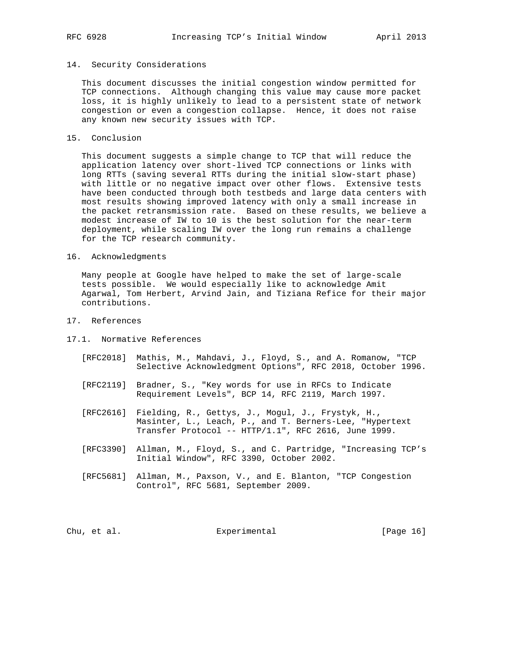#### 14. Security Considerations

 This document discusses the initial congestion window permitted for TCP connections. Although changing this value may cause more packet loss, it is highly unlikely to lead to a persistent state of network congestion or even a congestion collapse. Hence, it does not raise any known new security issues with TCP.

#### 15. Conclusion

 This document suggests a simple change to TCP that will reduce the application latency over short-lived TCP connections or links with long RTTs (saving several RTTs during the initial slow-start phase) with little or no negative impact over other flows. Extensive tests have been conducted through both testbeds and large data centers with most results showing improved latency with only a small increase in the packet retransmission rate. Based on these results, we believe a modest increase of IW to 10 is the best solution for the near-term deployment, while scaling IW over the long run remains a challenge for the TCP research community.

## 16. Acknowledgments

 Many people at Google have helped to make the set of large-scale tests possible. We would especially like to acknowledge Amit Agarwal, Tom Herbert, Arvind Jain, and Tiziana Refice for their major contributions.

## 17. References

#### 17.1. Normative References

- [RFC2018] Mathis, M., Mahdavi, J., Floyd, S., and A. Romanow, "TCP Selective Acknowledgment Options", RFC 2018, October 1996.
- [RFC2119] Bradner, S., "Key words for use in RFCs to Indicate Requirement Levels", BCP 14, RFC 2119, March 1997.
- [RFC2616] Fielding, R., Gettys, J., Mogul, J., Frystyk, H., Masinter, L., Leach, P., and T. Berners-Lee, "Hypertext Transfer Protocol -- HTTP/1.1", RFC 2616, June 1999.
- [RFC3390] Allman, M., Floyd, S., and C. Partridge, "Increasing TCP's Initial Window", RFC 3390, October 2002.
- [RFC5681] Allman, M., Paxson, V., and E. Blanton, "TCP Congestion Control", RFC 5681, September 2009.

Chu, et al. Superimental Experimental [Page 16]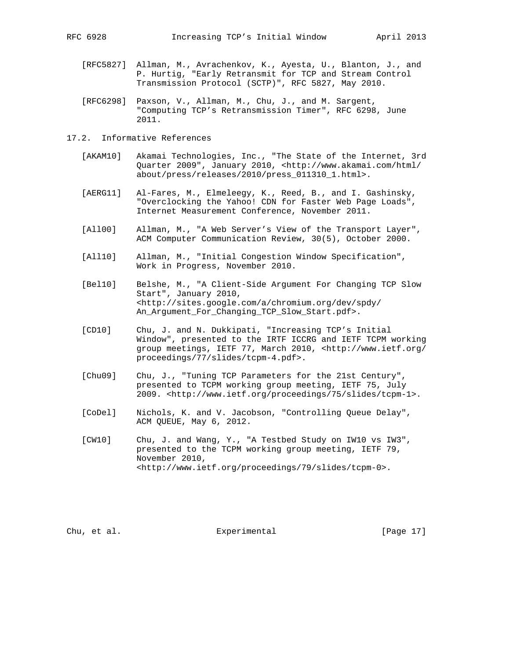- [RFC5827] Allman, M., Avrachenkov, K., Ayesta, U., Blanton, J., and P. Hurtig, "Early Retransmit for TCP and Stream Control Transmission Protocol (SCTP)", RFC 5827, May 2010.
- [RFC6298] Paxson, V., Allman, M., Chu, J., and M. Sargent, "Computing TCP's Retransmission Timer", RFC 6298, June 2011.
- 17.2. Informative References
	- [AKAM10] Akamai Technologies, Inc., "The State of the Internet, 3rd Quarter 2009", January 2010, <http://www.akamai.com/html/ about/press/releases/2010/press\_011310\_1.html>.
	- [AERG11] Al-Fares, M., Elmeleegy, K., Reed, B., and I. Gashinsky, "Overclocking the Yahoo! CDN for Faster Web Page Loads", Internet Measurement Conference, November 2011.
	- [All00] Allman, M., "A Web Server's View of the Transport Layer", ACM Computer Communication Review, 30(5), October 2000.
	- [All10] Allman, M., "Initial Congestion Window Specification", Work in Progress, November 2010.
	- [Bel10] Belshe, M., "A Client-Side Argument For Changing TCP Slow Start", January 2010, <http://sites.google.com/a/chromium.org/dev/spdy/ An\_Argument\_For\_Changing\_TCP\_Slow\_Start.pdf>.
	- [CD10] Chu, J. and N. Dukkipati, "Increasing TCP's Initial Window", presented to the IRTF ICCRG and IETF TCPM working group meetings, IETF 77, March 2010, <http://www.ietf.org/ proceedings/77/slides/tcpm-4.pdf>.
	- [Chu09] Chu, J., "Tuning TCP Parameters for the 21st Century", presented to TCPM working group meeting, IETF 75, July 2009. <http://www.ietf.org/proceedings/75/slides/tcpm-1>.
	- [CoDel] Nichols, K. and V. Jacobson, "Controlling Queue Delay", ACM QUEUE, May 6, 2012.
	- [CW10] Chu, J. and Wang, Y., "A Testbed Study on IW10 vs IW3", presented to the TCPM working group meeting, IETF 79, November 2010, <http://www.ietf.org/proceedings/79/slides/tcpm-0>.

Chu, et al. Experimental [Page 17]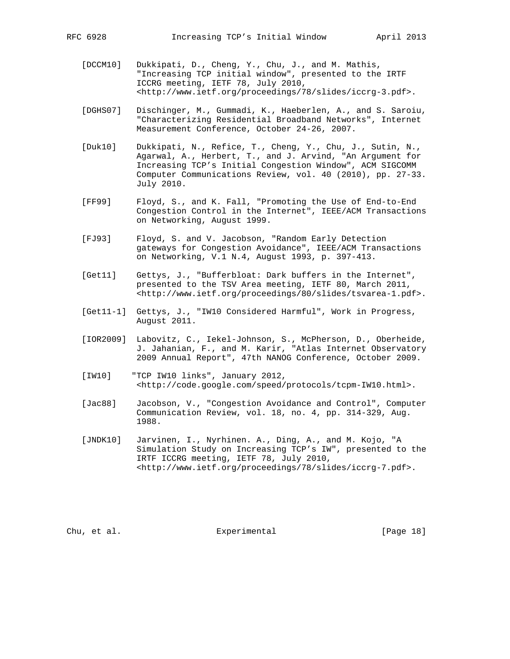- [DCCM10] Dukkipati, D., Cheng, Y., Chu, J., and M. Mathis, "Increasing TCP initial window", presented to the IRTF ICCRG meeting, IETF 78, July 2010, <http://www.ietf.org/proceedings/78/slides/iccrg-3.pdf>.
- [DGHS07] Dischinger, M., Gummadi, K., Haeberlen, A., and S. Saroiu, "Characterizing Residential Broadband Networks", Internet Measurement Conference, October 24-26, 2007.
- [Duk10] Dukkipati, N., Refice, T., Cheng, Y., Chu, J., Sutin, N., Agarwal, A., Herbert, T., and J. Arvind, "An Argument for Increasing TCP's Initial Congestion Window", ACM SIGCOMM Computer Communications Review, vol. 40 (2010), pp. 27-33. July 2010.
- [FF99] Floyd, S., and K. Fall, "Promoting the Use of End-to-End Congestion Control in the Internet", IEEE/ACM Transactions on Networking, August 1999.
- [FJ93] Floyd, S. and V. Jacobson, "Random Early Detection gateways for Congestion Avoidance", IEEE/ACM Transactions on Networking, V.1 N.4, August 1993, p. 397-413.
- [Get11] Gettys, J., "Bufferbloat: Dark buffers in the Internet", presented to the TSV Area meeting, IETF 80, March 2011, <http://www.ietf.org/proceedings/80/slides/tsvarea-1.pdf>.
- [Get11-1] Gettys, J., "IW10 Considered Harmful", Work in Progress, August 2011.
- [IOR2009] Labovitz, C., Iekel-Johnson, S., McPherson, D., Oberheide, J. Jahanian, F., and M. Karir, "Atlas Internet Observatory 2009 Annual Report", 47th NANOG Conference, October 2009.
- [IW10] "TCP IW10 links", January 2012, <http://code.google.com/speed/protocols/tcpm-IW10.html>.
- [Jac88] Jacobson, V., "Congestion Avoidance and Control", Computer Communication Review, vol. 18, no. 4, pp. 314-329, Aug. 1988.
- [JNDK10] Jarvinen, I., Nyrhinen. A., Ding, A., and M. Kojo, "A Simulation Study on Increasing TCP's IW", presented to the IRTF ICCRG meeting, IETF 78, July 2010, <http://www.ietf.org/proceedings/78/slides/iccrg-7.pdf>.

Chu, et al. Experimental [Page 18]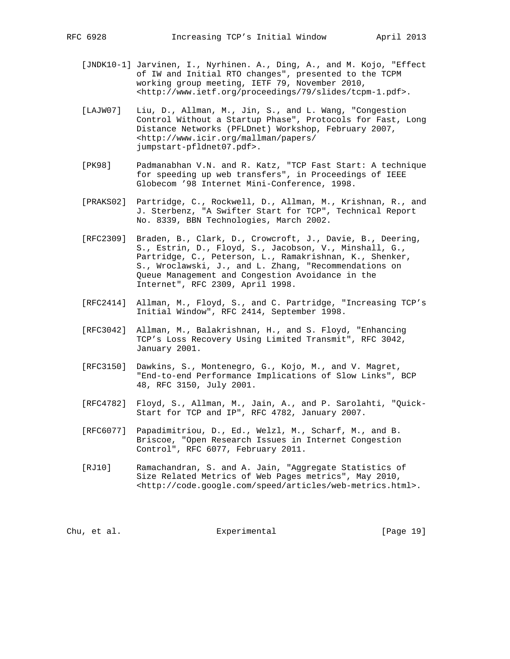- [JNDK10-1] Jarvinen, I., Nyrhinen. A., Ding, A., and M. Kojo, "Effect of IW and Initial RTO changes", presented to the TCPM working group meeting, IETF 79, November 2010, <http://www.ietf.org/proceedings/79/slides/tcpm-1.pdf>.
	- [LAJW07] Liu, D., Allman, M., Jin, S., and L. Wang, "Congestion Control Without a Startup Phase", Protocols for Fast, Long Distance Networks (PFLDnet) Workshop, February 2007, <http://www.icir.org/mallman/papers/ jumpstart-pfldnet07.pdf>.
	- [PK98] Padmanabhan V.N. and R. Katz, "TCP Fast Start: A technique for speeding up web transfers", in Proceedings of IEEE Globecom '98 Internet Mini-Conference, 1998.
	- [PRAKS02] Partridge, C., Rockwell, D., Allman, M., Krishnan, R., and J. Sterbenz, "A Swifter Start for TCP", Technical Report No. 8339, BBN Technologies, March 2002.
	- [RFC2309] Braden, B., Clark, D., Crowcroft, J., Davie, B., Deering, S., Estrin, D., Floyd, S., Jacobson, V., Minshall, G., Partridge, C., Peterson, L., Ramakrishnan, K., Shenker, S., Wroclawski, J., and L. Zhang, "Recommendations on Queue Management and Congestion Avoidance in the Internet", RFC 2309, April 1998.
	- [RFC2414] Allman, M., Floyd, S., and C. Partridge, "Increasing TCP's Initial Window", RFC 2414, September 1998.
	- [RFC3042] Allman, M., Balakrishnan, H., and S. Floyd, "Enhancing TCP's Loss Recovery Using Limited Transmit", RFC 3042, January 2001.
	- [RFC3150] Dawkins, S., Montenegro, G., Kojo, M., and V. Magret, "End-to-end Performance Implications of Slow Links", BCP 48, RFC 3150, July 2001.
	- [RFC4782] Floyd, S., Allman, M., Jain, A., and P. Sarolahti, "Quick- Start for TCP and IP", RFC 4782, January 2007.
	- [RFC6077] Papadimitriou, D., Ed., Welzl, M., Scharf, M., and B. Briscoe, "Open Research Issues in Internet Congestion Control", RFC 6077, February 2011.
	- [RJ10] Ramachandran, S. and A. Jain, "Aggregate Statistics of Size Related Metrics of Web Pages metrics", May 2010, <http://code.google.com/speed/articles/web-metrics.html>.

Chu, et al. Superimental Experimental [Page 19]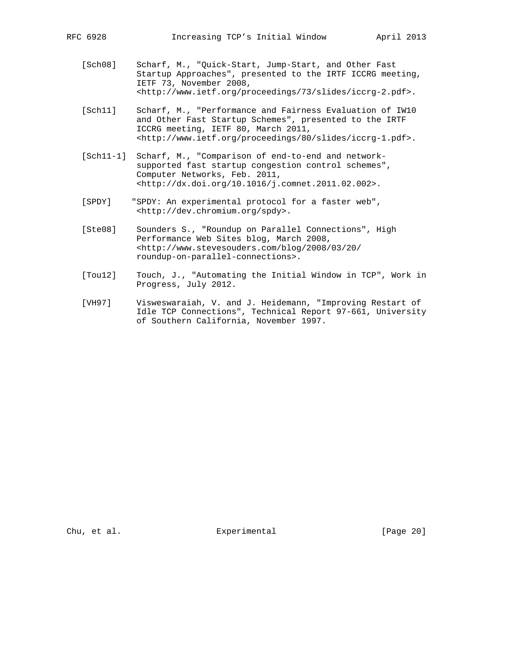- [Sch08] Scharf, M., "Quick-Start, Jump-Start, and Other Fast Startup Approaches", presented to the IRTF ICCRG meeting, IETF 73, November 2008, <http://www.ietf.org/proceedings/73/slides/iccrg-2.pdf>.
- [Sch11] Scharf, M., "Performance and Fairness Evaluation of IW10 and Other Fast Startup Schemes", presented to the IRTF ICCRG meeting, IETF 80, March 2011, <http://www.ietf.org/proceedings/80/slides/iccrg-1.pdf>.
- [Sch11-1] Scharf, M., "Comparison of end-to-end and network supported fast startup congestion control schemes", Computer Networks, Feb. 2011, <http://dx.doi.org/10.1016/j.comnet.2011.02.002>.
- [SPDY] "SPDY: An experimental protocol for a faster web", <http://dev.chromium.org/spdy>.
- [Ste08] Sounders S., "Roundup on Parallel Connections", High Performance Web Sites blog, March 2008, <http://www.stevesouders.com/blog/2008/03/20/ roundup-on-parallel-connections>.
- [Tou12] Touch, J., "Automating the Initial Window in TCP", Work in Progress, July 2012.
- [VH97] Visweswaraiah, V. and J. Heidemann, "Improving Restart of Idle TCP Connections", Technical Report 97-661, University of Southern California, November 1997.

Chu, et al. Experimental [Page 20]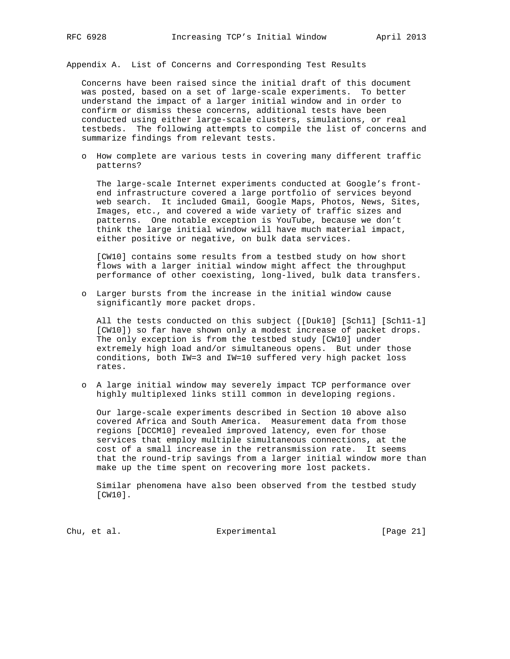Appendix A. List of Concerns and Corresponding Test Results

 Concerns have been raised since the initial draft of this document was posted, based on a set of large-scale experiments. To better understand the impact of a larger initial window and in order to confirm or dismiss these concerns, additional tests have been conducted using either large-scale clusters, simulations, or real testbeds. The following attempts to compile the list of concerns and summarize findings from relevant tests.

 o How complete are various tests in covering many different traffic patterns?

 The large-scale Internet experiments conducted at Google's front end infrastructure covered a large portfolio of services beyond web search. It included Gmail, Google Maps, Photos, News, Sites, Images, etc., and covered a wide variety of traffic sizes and patterns. One notable exception is YouTube, because we don't think the large initial window will have much material impact, either positive or negative, on bulk data services.

 [CW10] contains some results from a testbed study on how short flows with a larger initial window might affect the throughput performance of other coexisting, long-lived, bulk data transfers.

 o Larger bursts from the increase in the initial window cause significantly more packet drops.

 All the tests conducted on this subject ([Duk10] [Sch11] [Sch11-1] [CW10]) so far have shown only a modest increase of packet drops. The only exception is from the testbed study [CW10] under extremely high load and/or simultaneous opens. But under those conditions, both IW=3 and IW=10 suffered very high packet loss rates.

 o A large initial window may severely impact TCP performance over highly multiplexed links still common in developing regions.

 Our large-scale experiments described in Section 10 above also covered Africa and South America. Measurement data from those regions [DCCM10] revealed improved latency, even for those services that employ multiple simultaneous connections, at the cost of a small increase in the retransmission rate. It seems that the round-trip savings from a larger initial window more than make up the time spent on recovering more lost packets.

 Similar phenomena have also been observed from the testbed study [CW10].

Chu, et al. Experimental [Page 21]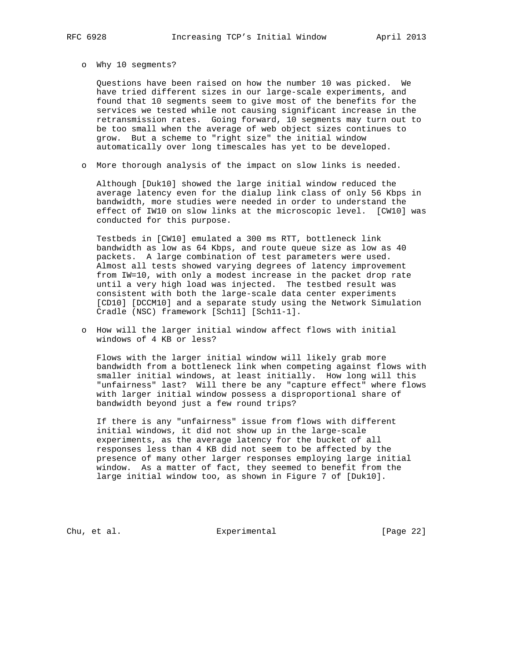o Why 10 segments?

 Questions have been raised on how the number 10 was picked. We have tried different sizes in our large-scale experiments, and found that 10 segments seem to give most of the benefits for the services we tested while not causing significant increase in the retransmission rates. Going forward, 10 segments may turn out to be too small when the average of web object sizes continues to grow. But a scheme to "right size" the initial window automatically over long timescales has yet to be developed.

o More thorough analysis of the impact on slow links is needed.

 Although [Duk10] showed the large initial window reduced the average latency even for the dialup link class of only 56 Kbps in bandwidth, more studies were needed in order to understand the effect of IW10 on slow links at the microscopic level. [CW10] was conducted for this purpose.

 Testbeds in [CW10] emulated a 300 ms RTT, bottleneck link bandwidth as low as 64 Kbps, and route queue size as low as 40 packets. A large combination of test parameters were used. Almost all tests showed varying degrees of latency improvement from IW=10, with only a modest increase in the packet drop rate until a very high load was injected. The testbed result was consistent with both the large-scale data center experiments [CD10] [DCCM10] and a separate study using the Network Simulation Cradle (NSC) framework [Sch11] [Sch11-1].

 o How will the larger initial window affect flows with initial windows of 4 KB or less?

 Flows with the larger initial window will likely grab more bandwidth from a bottleneck link when competing against flows with smaller initial windows, at least initially. How long will this "unfairness" last? Will there be any "capture effect" where flows with larger initial window possess a disproportional share of bandwidth beyond just a few round trips?

 If there is any "unfairness" issue from flows with different initial windows, it did not show up in the large-scale experiments, as the average latency for the bucket of all responses less than 4 KB did not seem to be affected by the presence of many other larger responses employing large initial window. As a matter of fact, they seemed to benefit from the large initial window too, as shown in Figure 7 of [Duk10].

Chu, et al. Superimental Experimental [Page 22]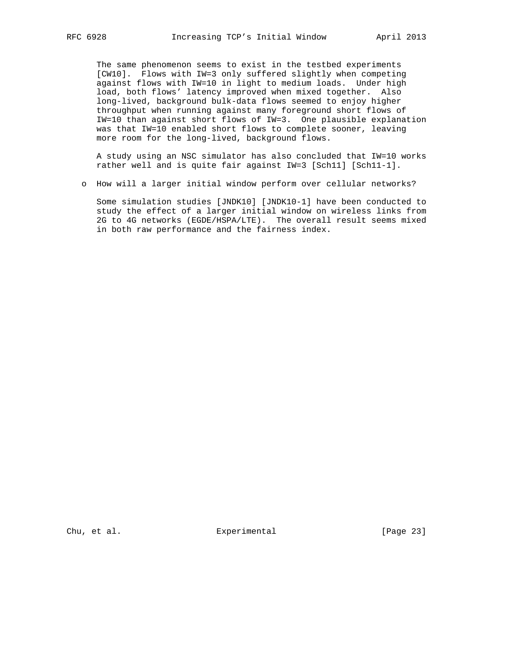The same phenomenon seems to exist in the testbed experiments [CW10]. Flows with IW=3 only suffered slightly when competing against flows with IW=10 in light to medium loads. Under high load, both flows' latency improved when mixed together. Also long-lived, background bulk-data flows seemed to enjoy higher throughput when running against many foreground short flows of IW=10 than against short flows of IW=3. One plausible explanation was that IW=10 enabled short flows to complete sooner, leaving more room for the long-lived, background flows.

 A study using an NSC simulator has also concluded that IW=10 works rather well and is quite fair against IW=3 [Sch11] [Sch11-1].

o How will a larger initial window perform over cellular networks?

 Some simulation studies [JNDK10] [JNDK10-1] have been conducted to study the effect of a larger initial window on wireless links from 2G to 4G networks (EGDE/HSPA/LTE). The overall result seems mixed in both raw performance and the fairness index.

Chu, et al. Subsection Experimental Chu, et al. [Page 23]